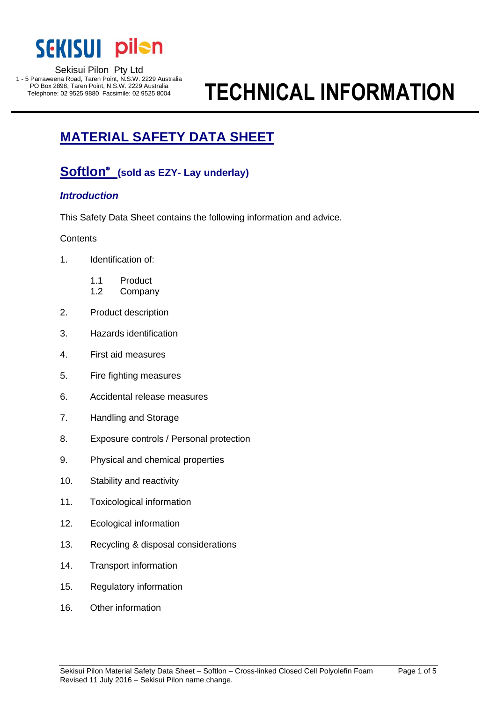

#### Sekisui Pilon Pty Ltd 1 - 5 Parraweena Road, Taren Point, N.S.W. 2229 Australia

PO Box 2898, Taren Point, N.S.W. 2229 Australia

# **TECHNICAL INFORMATION**

## **MATERIAL SAFETY DATA SHEET INFORMATIONFORMATI**

#### **Softlon**<sup>®</sup> (sold as EZY- Lay underlay) Telephone: 02 9525 9525 9525 800 Facebooks Soft Inches

## *Introduction*

This Safety Data Sheet contains the following information and advice.

## **Contents**

- 1. Identification of:
	- 1.1 Product
	- 1.2 Company
- 2. Product description
- 3. Hazards identification
- 4. First aid measures
- 5. Fire fighting measures
- 6. Accidental release measures
- 7. Handling and Storage
- 8. Exposure controls / Personal protection
- 9. Physical and chemical properties
- 10. Stability and reactivity
- 11. Toxicological information
- 12. Ecological information
- 13. Recycling & disposal considerations
- 14. Transport information
- 15. Regulatory information
- 16. Other information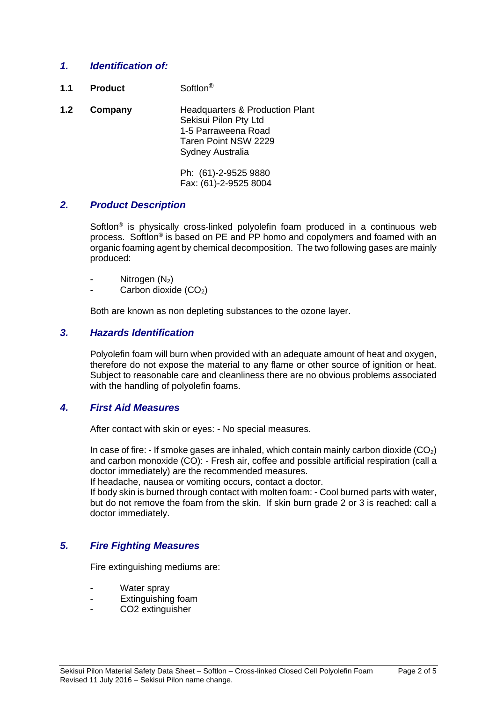## *1. Identification of:*

- **1.1 Product** Softlon®
- **1.2 Company** Headquarters & Production Plant Sekisui Pilon Pty Ltd 1-5 Parraweena Road Taren Point NSW 2229 Sydney Australia

Ph: (61)-2-9525 9880 Fax: (61)-2-9525 8004

## *2. Product Description*

Softlon<sup>®</sup> is physically cross-linked polyolefin foam produced in a continuous web process. Softlon<sup>®</sup> is based on PE and PP homo and copolymers and foamed with an organic foaming agent by chemical decomposition. The two following gases are mainly produced:

- Nitrogen  $(N_2)$
- Carbon dioxide  $(CO<sub>2</sub>)$

Both are known as non depleting substances to the ozone layer.

## *3. Hazards Identification*

Polyolefin foam will burn when provided with an adequate amount of heat and oxygen, therefore do not expose the material to any flame or other source of ignition or heat. Subject to reasonable care and cleanliness there are no obvious problems associated with the handling of polyolefin foams.

## *4. First Aid Measures*

After contact with skin or eyes: - No special measures.

In case of fire:  $-If$  smoke gases are inhaled, which contain mainly carbon dioxide  $(CO<sub>2</sub>)$ and carbon monoxide (CO): - Fresh air, coffee and possible artificial respiration (call a doctor immediately) are the recommended measures.

If headache, nausea or vomiting occurs, contact a doctor.

If body skin is burned through contact with molten foam: - Cool burned parts with water, but do not remove the foam from the skin. If skin burn grade 2 or 3 is reached: call a doctor immediately.

## *5. Fire Fighting Measures*

Fire extinguishing mediums are:

- Water spray
- Extinguishing foam
- CO2 extinguisher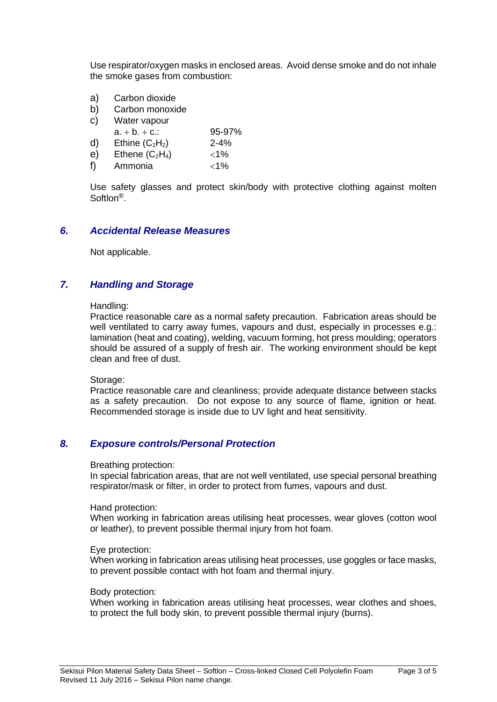Use respirator/oxygen masks in enclosed areas. Avoid dense smoke and do not inhale the smoke gases from combustion:

- a) Carbon dioxide
- b) Carbon monoxide
- c) Water vapour
- $a + b + c$ .: 95-97%
- d) Ethine  $(C_2H_2)$  2-4%
- e) Ethene  $(C_2H_4)$  <1%
- f) Ammonia  $<$ 1%

Use safety glasses and protect skin/body with protective clothing against molten Softlon®.

## *6. Accidental Release Measures*

Not applicable.

## *7. Handling and Storage*

#### Handling:

Practice reasonable care as a normal safety precaution. Fabrication areas should be well ventilated to carry away fumes, vapours and dust, especially in processes e.g.: lamination (heat and coating), welding, vacuum forming, hot press moulding; operators should be assured of a supply of fresh air. The working environment should be kept clean and free of dust.

Storage:

Practice reasonable care and cleanliness; provide adequate distance between stacks as a safety precaution. Do not expose to any source of flame, ignition or heat. Recommended storage is inside due to UV light and heat sensitivity.

## *8. Exposure controls/Personal Protection*

#### Breathing protection:

In special fabrication areas, that are not well ventilated, use special personal breathing respirator/mask or filter, in order to protect from fumes, vapours and dust.

#### Hand protection:

When working in fabrication areas utilising heat processes, wear gloves (cotton wool or leather), to prevent possible thermal injury from hot foam.

#### Eye protection:

When working in fabrication areas utilising heat processes, use goggles or face masks, to prevent possible contact with hot foam and thermal injury.

#### Body protection:

When working in fabrication areas utilising heat processes, wear clothes and shoes, to protect the full body skin, to prevent possible thermal injury (burns).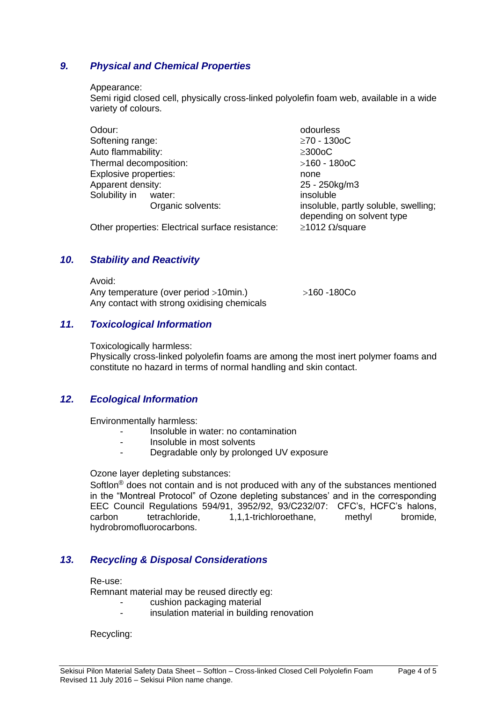## *9. Physical and Chemical Properties*

#### Appearance:

Semi rigid closed cell, physically cross-linked polyolefin foam web, available in a wide variety of colours.

| Odour:                       |                   | odourless                                                         |
|------------------------------|-------------------|-------------------------------------------------------------------|
| Softening range:             |                   | $≥70 - 1300C$                                                     |
| Auto flammability:           |                   | $\geq$ 300oC                                                      |
| Thermal decomposition:       |                   | $>160 - 1800C$                                                    |
| <b>Explosive properties:</b> |                   | none                                                              |
| Apparent density:            |                   | 25 - 250kg/m3                                                     |
| Solubility in                | water:            | insoluble                                                         |
|                              | Organic solvents: | insoluble, partly soluble, swelling;<br>depending on solvent type |

Other properties: Electrical surface resistance:  $\geq 1012 \Omega$ /square

## *10. Stability and Reactivity*

 $\lambda$   $\lambda$ 

| AVOIQ:                                      |             |
|---------------------------------------------|-------------|
| Any temperature (over period >10min.)       | >160 -180Co |
| Any contact with strong oxidising chemicals |             |

## *11. Toxicological Information*

Toxicologically harmless:

Physically cross-linked polyolefin foams are among the most inert polymer foams and constitute no hazard in terms of normal handling and skin contact.

## *12. Ecological Information*

Environmentally harmless:

- Insoluble in water: no contamination
- Insoluble in most solvents
- Degradable only by prolonged UV exposure

#### Ozone layer depleting substances:

Softlon® does not contain and is not produced with any of the substances mentioned in the "Montreal Protocol" of Ozone depleting substances' and in the corresponding EEC Council Regulations 594/91, 3952/92, 93/C232/07: CFC's, HCFC's halons, carbon tetrachloride, 1,1,1-trichloroethane, methyl bromide, hydrobromofluorocarbons.

## *13. Recycling & Disposal Considerations*

#### Re-use:

Remnant material may be reused directly eg:

- cushion packaging material
- insulation material in building renovation

Recycling: